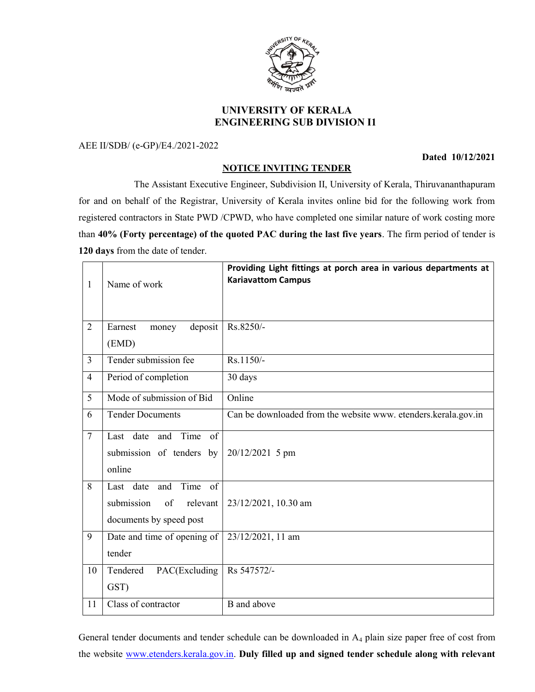

## UNIVERSITY OF KERALA ENGINEERING SUB DIVISION I1

AEE II/SDB/ (e-GP)/E4./2021-2022

Dated 10/12/2021

## NOTICE INVITING TENDER

 The Assistant Executive Engineer, Subdivision II, University of Kerala, Thiruvananthapuram for and on behalf of the Registrar, University of Kerala invites online bid for the following work from registered contractors in State PWD /CPWD, who have completed one similar nature of work costing more than 40% (Forty percentage) of the quoted PAC during the last five years. The firm period of tender is 120 days from the date of tender.

| $\mathbf{1}$   | Name of work                                                                              | Providing Light fittings at porch area in various departments at<br><b>Kariavattom Campus</b> |
|----------------|-------------------------------------------------------------------------------------------|-----------------------------------------------------------------------------------------------|
| $\overline{2}$ | deposit<br>Earnest<br>money<br>(EMD)                                                      | Rs.8250/-                                                                                     |
| $\overline{3}$ | Tender submission fee                                                                     | Rs.1150/-                                                                                     |
| $\overline{4}$ | Period of completion                                                                      | 30 days                                                                                       |
| 5              | Mode of submission of Bid                                                                 | Online                                                                                        |
| 6              | <b>Tender Documents</b>                                                                   | Can be downloaded from the website www. etenders.kerala.gov.in                                |
| $\tau$         | and Time<br>of<br>Last date<br>submission of tenders by<br>online                         | 20/12/2021 5 pm                                                                               |
| 8              | Time<br>of<br>Last date<br>and<br>submission<br>relevant<br>of<br>documents by speed post | 23/12/2021, 10.30 am                                                                          |
| 9              | Date and time of opening of<br>tender                                                     | 23/12/2021, 11 am                                                                             |
| 10             | Tendered<br>PAC(Excluding<br>GST)                                                         | Rs 547572/-                                                                                   |
| 11             | Class of contractor                                                                       | <b>B</b> and above                                                                            |

General tender documents and tender schedule can be downloaded in A4 plain size paper free of cost from the website www.etenders.kerala.gov.in. Duly filled up and signed tender schedule along with relevant